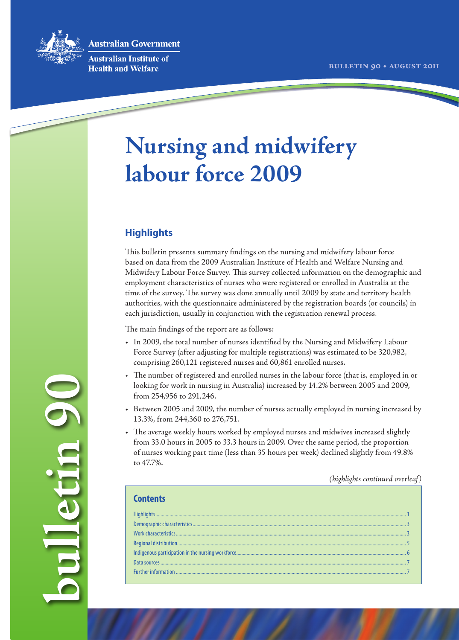

**Australian Government** 

**Australian Institute of Health and Welfare** 

# **Nursing and midwifery labour force 2009**

# **Highlights**

This bulletin presents summary findings on the nursing and midwifery labour force based on data from the 2009 Australian Institute of Health and Welfare Nursing and Midwifery Labour Force Survey. This survey collected information on the demographic and employment characteristics of nurses who were registered or enrolled in Australia at the time of the survey. The survey was done annually until 2009 by state and territory health authorities, with the questionnaire administered by the registration boards (or councils) in each jurisdiction, usually in conjunction with the registration renewal process.

The main findings of the report are as follows:

- • In 2009, the total number of nurses identified by the Nursing and Midwifery Labour Force Survey (after adjusting for multiple registrations) was estimated to be 320,982, comprising 260,121 registered nurses and 60,861 enrolled nurses.
- The number of registered and enrolled nurses in the labour force (that is, employed in or looking for work in nursing in Australia) increased by 14.2% between 2005 and 2009, from 254,956 to 291,246.
- Between 2005 and 2009, the number of nurses actually employed in nursing increased by 13.3%, from 244,360 to 276,751.
- • The average weekly hours worked by employed nurses and midwives increased slightly from 33.0 hours in 2005 to 33.3 hours in 2009. Over the same period, the proportion of nurses working part time (less than 35 hours per week) declined slightly from 49.8% to 47.7%.

*(highlights continued overleaf)*

**bulletin 90** J U. C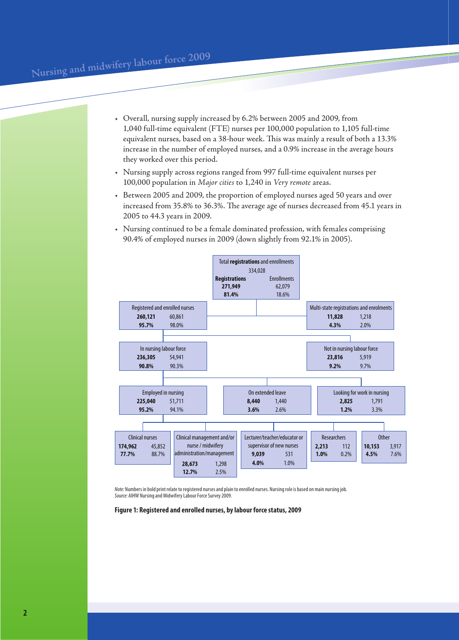- • Overall, nursing supply increased by 6.2% between 2005 and 2009, from 1,040 full‑time equivalent (FTE) nurses per 100,000 population to 1,105 full-time equivalent nurses, based on a 38-hour week. This was mainly a result of both a 13.3% increase in the number of employed nurses, and a 0.9% increase in the average hours they worked over this period.
- Nursing supply across regions ranged from 997 full-time equivalent nurses per 100,000 population in *Major cities* to 1,240 in *Very remote* areas.
- Between 2005 and 2009, the proportion of employed nurses aged 50 years and over increased from 35.8% to 36.3%. The average age of nurses decreased from 45.1 years in 2005 to 44.3 years in 2009.
- • Nursing continued to be a female dominated profession, with females comprising 90.4% of employed nurses in 2009 (down slightly from 92.1% in 2005).



*Note:* Numbers in bold print relate to registered nurses and plain to enrolled nurses. Nursing role is based on main nursing job. *Source:* AIHW Nursing and Midwifery Labour Force Survey 2009.

**Figure 1: Registered and enrolled nurses, by labour force status, 2009**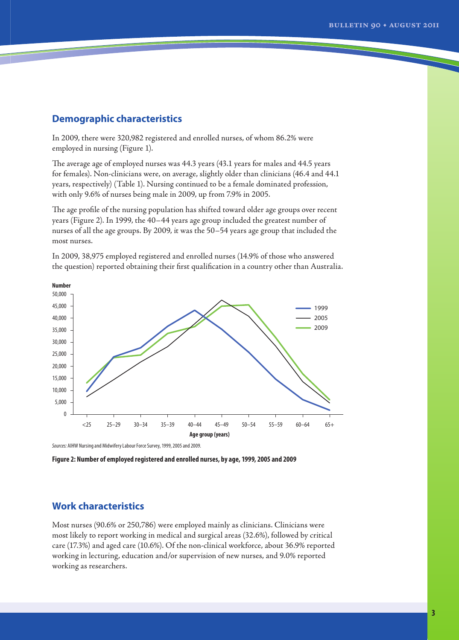## <span id="page-2-0"></span>**Demographic characteristics**

In 2009, there were 320,982 registered and enrolled nurses, of whom 86.2% were employed in nursing (Figure 1).

The average age of employed nurses was 44.3 years (43.1 years for males and 44.5 years for females). Non-clinicians were, on average, slightly older than clinicians (46.4 and 44.1 years, respectively) (Table 1). Nursing continued to be a female dominated profession, with only 9.6% of nurses being male in 2009, up from 7.9% in 2005.

The age profile of the nursing population has shifted toward older age groups over recent years (Figure 2). In 1999, the 40–44 years age group included the greatest number of nurses of all the age groups. By 2009, it was the 50–54 years age group that included the most nurses.

In 2009, 38,975 employed registered and enrolled nurses (14.9% of those who answered the question) reported obtaining their first qualification in a country other than Australia.



*Sources:* AIHW Nursing and Midwifery Labour Force Survey, 1999, 2005 and 2009.

**Figure 2: Number of employed registered and enrolled nurses, by age, 1999, 2005 and 2009**

# **Work characteristics**

Most nurses (90.6% or 250,786) were employed mainly as clinicians. Clinicians were most likely to report working in medical and surgical areas (32.6%), followed by critical care (17.3%) and aged care (10.6%). Of the non-clinical workforce, about 36.9% reported working in lecturing, education and/or supervision of new nurses, and 9.0% reported working as researchers.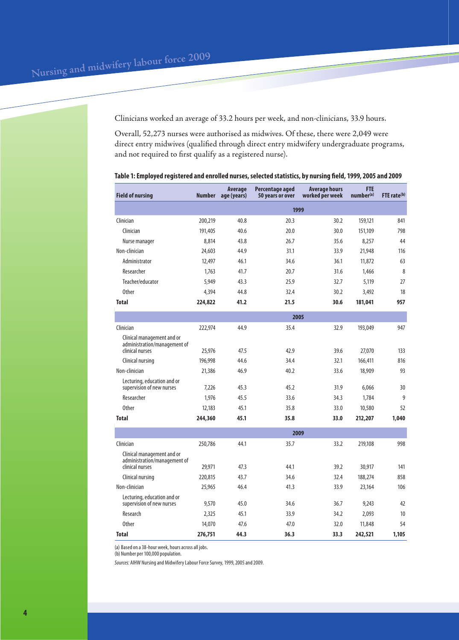Clinicians worked an average of 33.2 hours per week, and non-clinicians, 33.9 hours.

Overall, 52,273 nurses were authorised as midwives. Of these, there were 2,049 were direct entry midwives (qualified through direct entry midwifery undergraduate programs, and not required to first qualify as a registered nurse).

| <b>Field of nursing</b>                                                       | Number          | <b>Average</b><br>age (years) | Percentage aged<br>50 years or over | <b>Average hours</b><br>worked per week | <b>FTE</b><br>number(a) | FTE rate(b) |  |
|-------------------------------------------------------------------------------|-----------------|-------------------------------|-------------------------------------|-----------------------------------------|-------------------------|-------------|--|
|                                                                               | 1999            |                               |                                     |                                         |                         |             |  |
| Clinician                                                                     | 200,219         | 40.8                          | 20.3                                | 30.2                                    | 159,121                 | 841         |  |
| Clinician                                                                     | 191,405         | 40.6                          | 20.0                                | 30.0                                    | 151,109                 | 798         |  |
| Nurse manager                                                                 | 8,814           | 43.8                          | 26.7                                | 35.6                                    | 8,257                   | 44          |  |
| Non-clinician                                                                 | 24,603          | 44.9                          | 31.1                                | 33.9                                    | 21,948                  | 116         |  |
| Administrator                                                                 | 12,497          | 46.1                          | 34.6                                | 36.1                                    | 11,872                  | 63          |  |
| Researcher                                                                    | 1,763           | 41.7                          | 20.7                                | 31.6                                    | 1.466                   | 8           |  |
| Teacher/educator                                                              | 5,949           | 43.3                          | 25.9                                | 32.7                                    | 5,119                   | 27          |  |
| <b>Other</b>                                                                  | 4,394           | 44.8                          | 32.4                                | 30.2                                    | 3,492                   | 18          |  |
| <b>Total</b>                                                                  | 224,822         | 41.2                          | 21.5                                | 30.6                                    | 181,041                 | 957         |  |
|                                                                               | 2005            |                               |                                     |                                         |                         |             |  |
| Clinician                                                                     | 222,974         | 44.9                          | 35.4                                | 32.9                                    | 193,049                 | 947         |  |
| Clinical management and or<br>administration/management of                    |                 |                               |                                     |                                         |                         |             |  |
| clinical nurses                                                               | 25,976          | 47.5                          | 42.9                                | 39.6                                    | 27,070                  | 133         |  |
| Clinical nursing                                                              | 196,998         | 44.6                          | 34.4                                | 32.1                                    | 166,411                 | 816         |  |
| Non-clinician                                                                 | 21,386          | 46.9                          | 40.2                                | 33.6                                    | 18,909                  | 93          |  |
| Lecturing, education and or<br>supervision of new nurses                      | 7,226           | 45.3                          | 45.2                                | 31.9                                    | 6,066                   | 30          |  |
| Researcher                                                                    | 1,976           | 45.5                          | 33.6                                | 34.3                                    | 1,784                   | 9           |  |
| <b>Other</b>                                                                  | 12,183          | 45.1                          | 35.8                                | 33.0                                    | 10,580                  | 52          |  |
| <b>Total</b>                                                                  | 244,360         | 45.1                          | 35.8                                | 33.0                                    | 212,207                 | 1,040       |  |
|                                                                               |                 |                               |                                     | 2009                                    |                         |             |  |
| Clinician                                                                     | 250,786         | 44.1                          | 35.7                                | 33.2                                    | 219,108                 | 998         |  |
| Clinical management and or<br>administration/management of<br>clinical nurses | 29,971          | 47.3                          | 44.1                                | 39.2                                    | 30,917                  | 141         |  |
| Clinical nursing                                                              | 220,815         | 43.7                          | 34.6                                | 32.4                                    | 188,274                 | 858         |  |
| Non-clinician                                                                 | 25,965          | 46.4                          | 41.3                                | 33.9                                    | 23,164                  | 106         |  |
| Lecturing, education and or                                                   |                 | 45.0                          | 34.6                                | 36.7                                    |                         | 42          |  |
| supervision of new nurses<br>Research                                         | 9,570           | 45.1                          | 33.9                                | 34.2                                    | 9,243                   | 10          |  |
| <b>Other</b>                                                                  | 2,325<br>14,070 | 47.6                          | 47.0                                | 32.0                                    | 2,093<br>11,848         | 54          |  |
| <b>Total</b>                                                                  |                 | 44.3                          | 36.3                                | 33.3                                    | 242,521                 | 1,105       |  |
|                                                                               | 276,751         |                               |                                     |                                         |                         |             |  |

#### **Table 1: Employed registered and enrolled nurses, selected statistics, by nursing field, 1999, 2005 and 2009**

(a) Based on a 38-hour week, hours across all jobs.

(b) Number per 100,000 population.

*Sources:* AIHW Nursing and Midwifery Labour Force Survey, 1999, 2005 and 2009.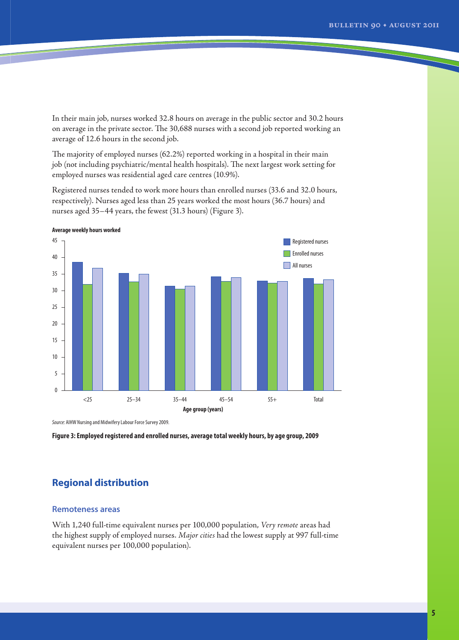<span id="page-4-0"></span>In their main job, nurses worked 32.8 hours on average in the public sector and 30.2 hours on average in the private sector. The 30,688 nurses with a second job reported working an average of 12.6 hours in the second job.

The majority of employed nurses (62.2%) reported working in a hospital in their main job (not including psychiatric/mental health hospitals). The next largest work setting for employed nurses was residential aged care centres (10.9%).

Registered nurses tended to work more hours than enrolled nurses (33.6 and 32.0 hours, respectively). Nurses aged less than 25 years worked the most hours (36.7 hours) and nurses aged 35–44 years, the fewest (31.3 hours) (Figure 3).



**Average weekly hours worked**

*Source:* AIHW Nursing and Midwifery Labour Force Survey 2009.

**Figure 3: Employed registered and enrolled nurses, average total weekly hours, by age group, 2009**

# **Regional distribution**

### **Remoteness areas**

With 1,240 full-time equivalent nurses per 100,000 population, *Very remote* areas had the highest supply of employed nurses. *Major cities* had the lowest supply at 997 full-time equivalent nurses per 100,000 population).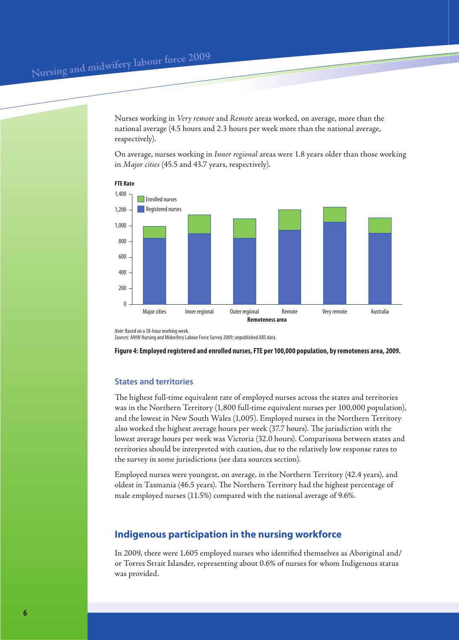<span id="page-5-0"></span>Nurses working in *Very remote* and *Remote* areas worked, on average, more than the national average (4.5 hours and 2.3 hours per week more than the national average, respectively).

On average, nurses working in *Inner regional* areas were 1.8 years older than those working in *Major cities* (45.5 and 43.7 years, respectively).



**FTE Rate**

*Note:* Based on a 38-hour working week. *Sources:* AIHW Nursing and Midwifery Labour Force Survey 2009; unpublished ABS data.

**Figure 4: Employed registered and enrolled nurses, FTE per 100,000 population, by remoteness area, 2009.**

## **States and territories**

The highest full-time equivalent rate of employed nurses across the states and territories was in the Northern Territory (1,800 full-time equivalent nurses per 100,000 population), and the lowest in New South Wales (1,005). Employed nurses in the Northern Territory also worked the highest average hours per week (37.7 hours). The jurisdiction with the lowest average hours per week was Victoria (32.0 hours). Comparisons between states and territories should be interpreted with caution, due to the relatively low response rates to the survey in some jurisdictions (see data sources section).

Employed nurses were youngest, on average, in the Northern Territory (42.4 years), and oldest in Tasmania (46.5 years). The Northern Territory had the highest percentage of male employed nurses (11.5%) compared with the national average of 9.6%.

## **Indigenous participation in the nursing workforce**

In 2009, there were 1,605 employed nurses who identified themselves as Aboriginal and/ or Torres Strait Islander, representing about 0.6% of nurses for whom Indigenous status was provided.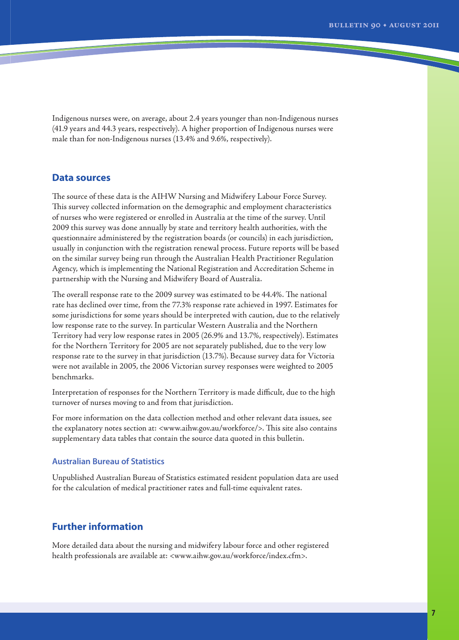<span id="page-6-0"></span>Indigenous nurses were, on average, about 2.4 years younger than non-Indigenous nurses (41.9 years and 44.3 years, respectively). A higher proportion of Indigenous nurses were male than for non-Indigenous nurses (13.4% and 9.6%, respectively).

## **Data sources**

The source of these data is the AIHW Nursing and Midwifery Labour Force Survey. This survey collected information on the demographic and employment characteristics of nurses who were registered or enrolled in Australia at the time of the survey. Until 2009 this survey was done annually by state and territory health authorities, with the questionnaire administered by the registration boards (or councils) in each jurisdiction, usually in conjunction with the registration renewal process. Future reports will be based on the similar survey being run through the Australian Health Practitioner Regulation Agency, which is implementing the National Registration and Accreditation Scheme in partnership with the Nursing and Midwifery Board of Australia.

The overall response rate to the 2009 survey was estimated to be 44.4%. The national rate has declined over time, from the 77.3% response rate achieved in 1997. Estimates for some jurisdictions for some years should be interpreted with caution, due to the relatively low response rate to the survey. In particular Western Australia and the Northern Territory had very low response rates in 2005 (26.9% and 13.7%, respectively). Estimates for the Northern Territory for 2005 are not separately published, due to the very low response rate to the survey in that jurisdiction (13.7%). Because survey data for Victoria were not available in 2005, the 2006 Victorian survey responses were weighted to 2005 benchmarks.

Interpretation of responses for the Northern Territory is made difficult, due to the high turnover of nurses moving to and from that jurisdiction.

For more information on the data collection method and other relevant data issues, see the explanatory notes section at: <www.aihw.gov.au/workforce/>. This site also contains supplementary data tables that contain the source data quoted in this bulletin.

## **Australian Bureau of Statistics**

Unpublished Australian Bureau of Statistics estimated resident population data are used for the calculation of medical practitioner rates and full-time equivalent rates.

## **Further information**

More detailed data about the nursing and midwifery labour force and other registered health professionals are available at: <www.aihw.gov.au/workforce/index.cfm>.